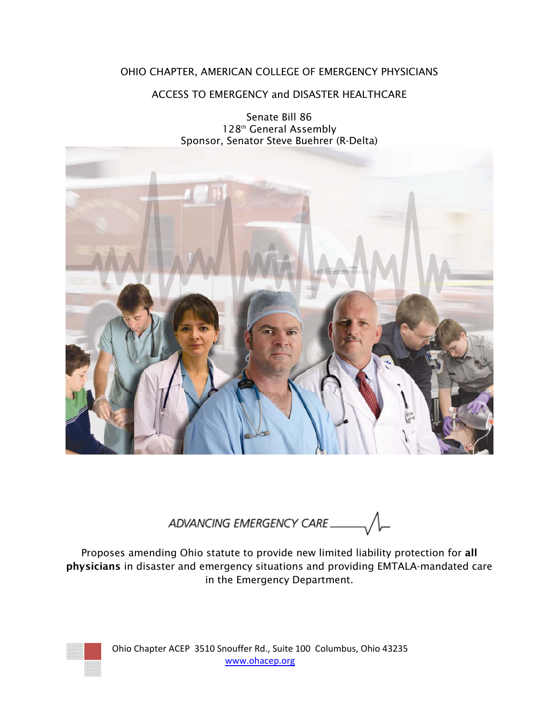# OHIO CHAPTER, AMERICAN COLLEGE OF EMERGENCY PHYSICIANS

# ACCESS TO EMERGENCY and DISASTER HEALTHCARE

Senate Bill 86 128th General Assembly Sponsor, Senator Steve Buehrer (R-Delta)



ADVANCING EMERGENCY CARE

Proposes amending Ohio statute to provide new limited liability protection for all physicians in disaster and emergency situations and providing EMTALA-mandated care in the Emergency Department.



Ohio Chapter ACEP 3510 Snouffer Rd., Suite 100 Columbus, Ohio 43235 www.ohacep.org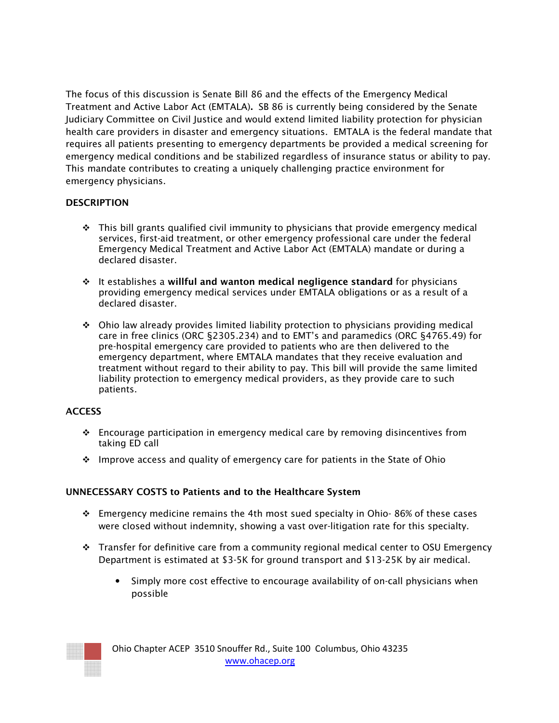The focus of this discussion is Senate Bill 86 and the effects of the Emergency Medical Treatment and Active Labor Act (EMTALA). SB 86 is currently being considered by the Senate Judiciary Committee on Civil Justice and would extend limited liability protection for physician health care providers in disaster and emergency situations. EMTALA is the federal mandate that requires all patients presenting to emergency departments be provided a medical screening for emergency medical conditions and be stabilized regardless of insurance status or ability to pay. This mandate contributes to creating a uniquely challenging practice environment for emergency physicians.

## **DESCRIPTION**

- $\div$  This bill grants qualified civil immunity to physicians that provide emergency medical services, first-aid treatment, or other emergency professional care under the federal Emergency Medical Treatment and Active Labor Act (EMTALA) mandate or during a declared disaster.
- $\cdot$  It establishes a willful and wanton medical negligence standard for physicians providing emergency medical services under EMTALA obligations or as a result of a declared disaster.
- $\div$  Ohio law already provides limited liability protection to physicians providing medical care in free clinics (ORC §2305.234) and to EMT's and paramedics (ORC §4765.49) for pre-hospital emergency care provided to patients who are then delivered to the emergency department, where EMTALA mandates that they receive evaluation and treatment without regard to their ability to pay. This bill will provide the same limited liability protection to emergency medical providers, as they provide care to such patients.

#### **ACCESS**

- $\div$  Encourage participation in emergency medical care by removing disincentives from taking ED call
- $\cdot \cdot$  Improve access and quality of emergency care for patients in the State of Ohio

## UNNECESSARY COSTS to Patients and to the Healthcare System

- $\div$  Emergency medicine remains the 4th most sued specialty in Ohio-86% of these cases were closed without indemnity, showing a vast over-litigation rate for this specialty.
- Transfer for definitive care from a community regional medical center to OSU Emergency Department is estimated at \$3-5K for ground transport and \$13-25K by air medical.
	- Simply more cost effective to encourage availability of on-call physicians when possible



Ohio Chapter ACEP 3510 Snouffer Rd., Suite 100 Columbus, Ohio 43235 www.ohacep.org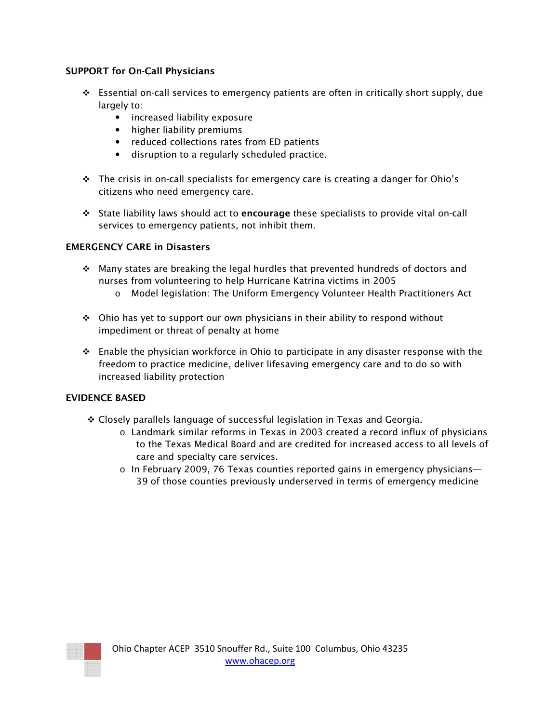## SUPPORT for On-Call Physicians

- Essential on-call services to emergency patients are often in critically short supply, due largely to:
	- increased liability exposure
	- higher liability premiums
	- reduced collections rates from ED patients
	- disruption to a regularly scheduled practice.
- $\cdot \cdot$  The crisis in on-call specialists for emergency care is creating a danger for Ohio's citizens who need emergency care.
- State liability laws should act to encourage these specialists to provide vital on-call services to emergency patients, not inhibit them.

#### EMERGENCY CARE in Disasters

- $\cdot$  Many states are breaking the legal hurdles that prevented hundreds of doctors and nurses from volunteering to help Hurricane Katrina victims in 2005
	- o Model legislation: The Uniform Emergency Volunteer Health Practitioners Act
- $\div$  Ohio has yet to support our own physicians in their ability to respond without impediment or threat of penalty at home
- **Enable the physician workforce in Ohio to participate in any disaster response with the** freedom to practice medicine, deliver lifesaving emergency care and to do so with increased liability protection

#### EVIDENCE BASED

- Closely parallels language of successful legislation in Texas and Georgia.
	- o Landmark similar reforms in Texas in 2003 created a record influx of physicians to the Texas Medical Board and are credited for increased access to all levels of care and specialty care services.
	- $\circ$  In February 2009, 76 Texas counties reported gains in emergency physicians— 39 of those counties previously underserved in terms of emergency medicine